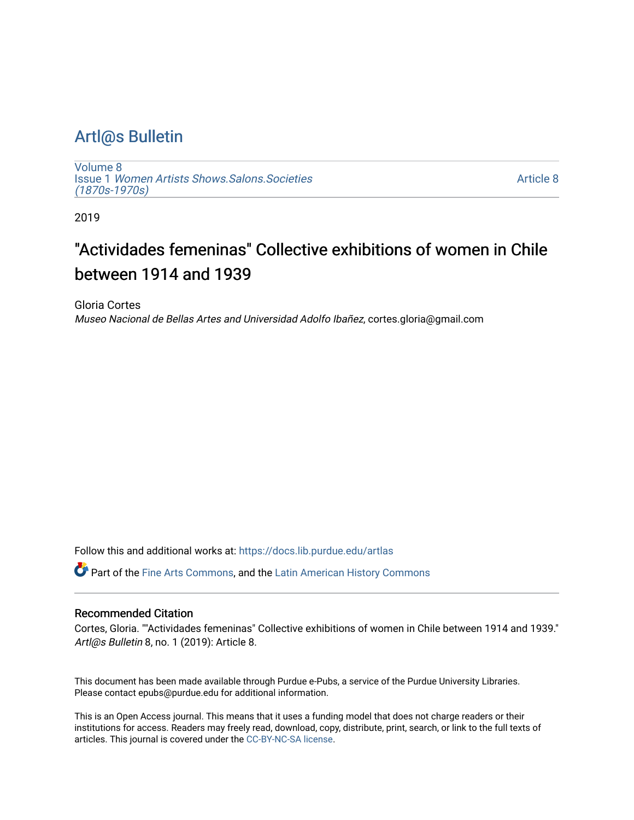# [Artl@s Bulletin](https://docs.lib.purdue.edu/artlas)

[Volume 8](https://docs.lib.purdue.edu/artlas/vol8) Issue 1 [Women Artists Shows.Salons.Societies](https://docs.lib.purdue.edu/artlas/vol8/iss1)  [\(1870s-1970s\)](https://docs.lib.purdue.edu/artlas/vol8/iss1)

[Article 8](https://docs.lib.purdue.edu/artlas/vol8/iss1/8) 

2019

# "Actividades femeninas" Collective exhibitions of women in Chile between 1914 and 1939

Gloria Cortes Museo Nacional de Bellas Artes and Universidad Adolfo Ibañez, cortes.gloria@gmail.com

Follow this and additional works at: [https://docs.lib.purdue.edu/artlas](https://docs.lib.purdue.edu/artlas?utm_source=docs.lib.purdue.edu%2Fartlas%2Fvol8%2Fiss1%2F8&utm_medium=PDF&utm_campaign=PDFCoverPages)

Part of the [Fine Arts Commons,](http://network.bepress.com/hgg/discipline/1141?utm_source=docs.lib.purdue.edu%2Fartlas%2Fvol8%2Fiss1%2F8&utm_medium=PDF&utm_campaign=PDFCoverPages) and the [Latin American History Commons](http://network.bepress.com/hgg/discipline/494?utm_source=docs.lib.purdue.edu%2Fartlas%2Fvol8%2Fiss1%2F8&utm_medium=PDF&utm_campaign=PDFCoverPages) 

#### Recommended Citation

Cortes, Gloria. ""Actividades femeninas" Collective exhibitions of women in Chile between 1914 and 1939." Artl@s Bulletin 8, no. 1 (2019): Article 8.

This document has been made available through Purdue e-Pubs, a service of the Purdue University Libraries. Please contact epubs@purdue.edu for additional information.

This is an Open Access journal. This means that it uses a funding model that does not charge readers or their institutions for access. Readers may freely read, download, copy, distribute, print, search, or link to the full texts of articles. This journal is covered under the [CC-BY-NC-SA license.](https://creativecommons.org/licenses/by-nc-sa/4.0/)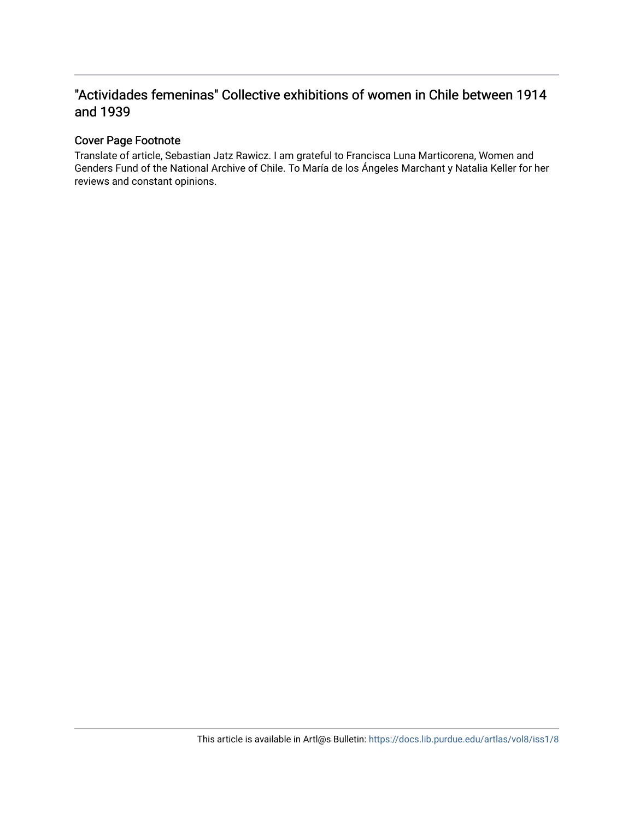# "Actividades femeninas" Collective exhibitions of women in Chile between 1914 and 1939

#### Cover Page Footnote

Translate of article, Sebastian Jatz Rawicz. I am grateful to Francisca Luna Marticorena, Women and Genders Fund of the National Archive of Chile. To María de los Ángeles Marchant y Natalia Keller for her reviews and constant opinions.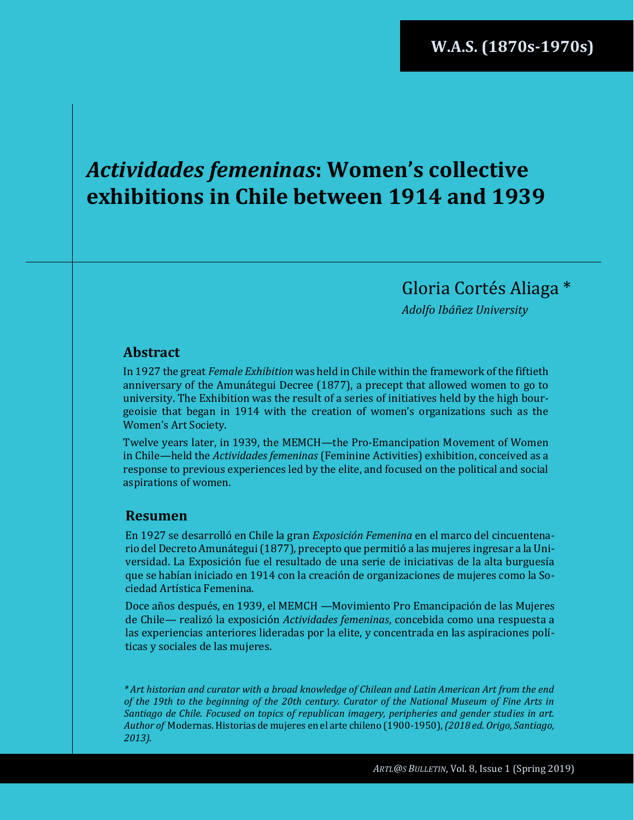# *Actividades femeninas***: Women's collective exhibitions in Chile between 1914 and 1939**

Gloria Cortés Aliaga \*

*Adolfo Ibáñez University*

#### **Abstract**

In 1927 the great *Female Exhibition* was held in Chile within the framework of the fiftieth anniversary of the Amunátegui Decree (1877), a precept that allowed women to go to university. The Exhibition was the result of a series of initiatives held by the high bourgeoisie that began in 1914 with the creation of women's organizations such as the Women's Art Society.

Twelve years later, in 1939, the MEMCH*—*the Pro-Emancipation Movement of Women in Chile*—*held the *Actividades femeninas* (Feminine Activities) exhibition, conceived as a response to previous experiences led by the elite, and focused on the political and social aspirations of women.

#### **Resumen**

En 1927 se desarrolló en Chile la gran *Exposición Femenina* en el marco del cincuentenario del Decreto Amunátegui (1877), precepto que permitió a las mujeres ingresar a la Universidad. La Exposición fue el resultado de una serie de iniciativas de la alta burguesía que se habían iniciado en 1914 con la creación de organizaciones de mujeres como la Sociedad Artística Femenina.

Doce años después, en 1939, el MEMCH *—*Movimiento Pro Emancipación de las Mujeres de Chile*—* realizó la exposición *Actividades femeninas*, concebida como una respuesta a las experiencias anteriores lideradas por la elite, y concentrada en las aspiraciones políticas y sociales de las mujeres.

*\* Art historian and curator with a broad knowledge of Chilean and Latin American Art from the end of the 19th to the beginning of the 20th century. Curator of the National Museum of Fine Arts in Santiago de Chile. Focused on topics of republican imagery, peripheries and gender studies in art. Author of* Modernas. Historias de mujeres en el arte chileno (1900-1950),*(2018 ed. Origo, Santiago, 2013).*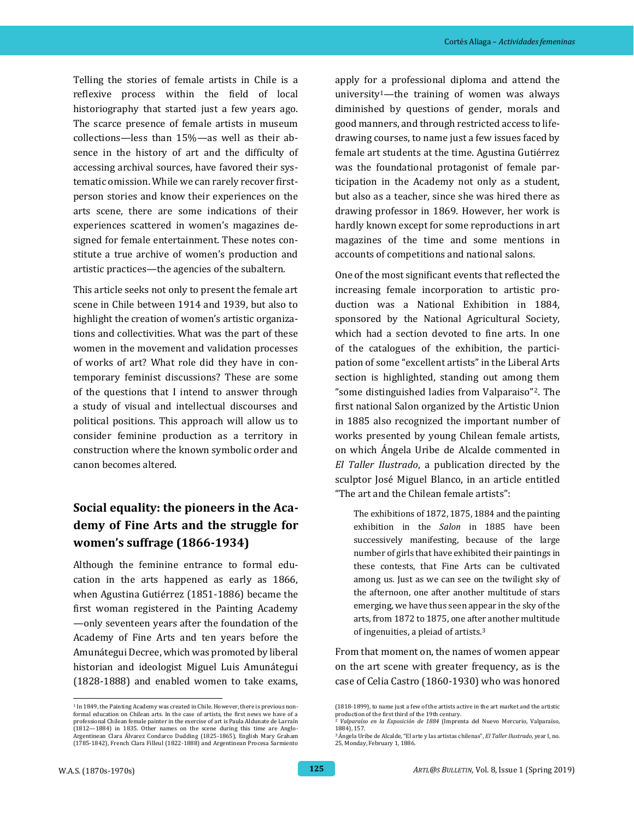Telling the stories of female artists in Chile is a reflexive process within the field of local historiography that started just a few years ago. The scarce presence of female artists in museum collections*—*less than 15%*—*as well as their absence in the history of art and the difficulty of accessing archival sources, have favored their systematic omission. While we can rarely recover firstperson stories and know their experiences on the arts scene, there are some indications of their experiences scattered in women's magazines designed for female entertainment. These notes constitute a true archive of women's production and artistic practices—the agencies of the subaltern.

This article seeks not only to present the female art scene in Chile between 1914 and 1939, but also to highlight the creation of women's artistic organizations and collectivities. What was the part of these women in the movement and validation processes of works of art? What role did they have in contemporary feminist discussions? These are some of the questions that I intend to answer through a study of visual and intellectual discourses and political positions. This approach will allow us to consider feminine production as a territory in construction where the known symbolic order and canon becomes altered.

# **Social equality: the pioneers in the Academy of Fine Arts and the struggle for women's suffrage (1866-1934)**

Although the feminine entrance to formal education in the arts happened as early as 1866, when Agustina Gutiérrez (1851-1886) became the first woman registered in the Painting Academy —only seventeen years after the foundation of the Academy of Fine Arts and ten years before the Amunátegui Decree, which was promoted by liberal historian and ideologist Miguel Luis Amunátegui (1828-1888) and enabled women to take exams, apply for a professional diploma and attend the university<sup>1</sup>—the training of women was always diminished by questions of gender, morals and good manners, and through restricted access to lifedrawing courses, to name just a few issues faced by female art students at the time. Agustina Gutiérrez was the foundational protagonist of female participation in the Academy not only as a student, but also as a teacher, since she was hired there as drawing professor in 1869. However, her work is hardly known except for some reproductions in art magazines of the time and some mentions in accounts of competitions and national salons.

One of the most significant events that reflected the increasing female incorporation to artistic production was a National Exhibition in 1884, sponsored by the National Agricultural Society, which had a section devoted to fine arts. In one of the catalogues of the exhibition, the participation of some "excellent artists" in the Liberal Arts section is highlighted, standing out among them "some distinguished ladies from Valparaiso"2. The first national Salon organized by the Artistic Union in 1885 also recognized the important number of works presented by young Chilean female artists, on which Ángela Uribe de Alcalde commented in *El Taller Ilustrado*, a publication directed by the sculptor José Miguel Blanco, in an article entitled "The art and the Chilean female artists":

The exhibitions of 1872, 1875, 1884 and the painting exhibition in the *Salon* in 1885 have been successively manifesting, because of the large number of girls that have exhibited their paintings in these contests, that Fine Arts can be cultivated among us. Just as we can see on the twilight sky of the afternoon, one after another multitude of stars emerging, we have thus seen appear in the sky of the arts, from 1872 to 1875, one after another multitude of ingenuities, a pleiad of artists.<sup>3</sup>

From that moment on, the names of women appear on the art scene with greater frequency, as is the case of Celia Castro (1860-1930) who was honored

<sup>&</sup>lt;sup>1</sup> In 1849, the Painting Academy was created in Chile. However, there is previous nonformal education on Chilean arts. In the case of artists, the first news we have of a professional Chilean female painter in the exercise of art is Paula Aldunate de Larraín (1812—1884) in 1835. Other names on the scene during this time are Anglo-Argentinean Clara Álvarez Condarco Dudding (1825-1865), English Mary Graham (1785-1842), French Clara Filleul (1822-1888) and Argentinean Procesa Sarmiento

<sup>(1818-1899),</sup> to name just a few of the artists active in the art market and the artistic production of the first third of the 19th century. <sup>2</sup> *Valparaíso en la Exposición de 1884* (Imprenta del Nuevo Mercurio, Valparaíso,

<sup>1884), 157.</sup>

<sup>3</sup> Ángela Uribe de Alcalde, "El arte y las artistas chilenas", *El Taller Ilustrado*, year I, no. 25, Monday, February 1, 1886.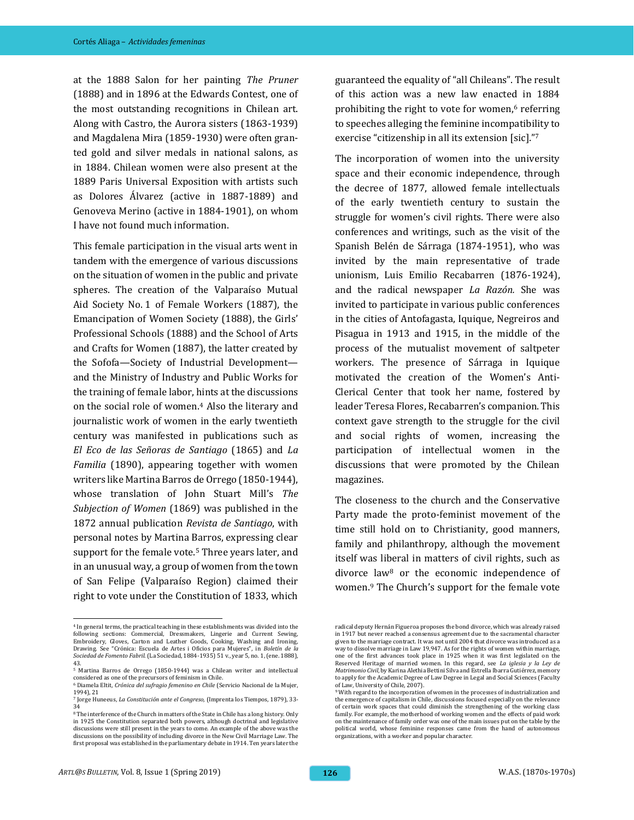at the 1888 Salon for her painting *The Pruner* (1888) and in 1896 at the Edwards Contest, one of the most outstanding recognitions in Chilean art. Along with Castro, the Aurora sisters (1863-1939) and Magdalena Mira (1859-1930) were often granted gold and silver medals in national salons, as in 1884. Chilean women were also present at the 1889 Paris Universal Exposition with artists such as Dolores Álvarez (active in 1887-1889) and Genoveva Merino (active in 1884-1901), on whom I have not found much information.

This female participation in the visual arts went in tandem with the emergence of various discussions on the situation of women in the public and private spheres. The creation of the Valparaíso Mutual Aid Society No. 1 of Female Workers (1887), the Emancipation of Women Society (1888), the Girls' Professional Schools (1888) and the School of Arts and Crafts for Women (1887), the latter created by the Sofofa—Society of Industrial Development and the Ministry of Industry and Public Works for the training of female labor, hints at the discussions on the social role of women.<sup>4</sup> Also the literary and journalistic work of women in the early twentieth century was manifested in publications such as *El Eco de las Señoras de Santiago* (1865) and *La Familia* (1890), appearing together with women writers like Martina Barros de Orrego (1850-1944), whose translation of John Stuart Mill's *The Subjection of Women* (1869) was published in the 1872 annual publication *Revista de Santiago*, with personal notes by Martina Barros, expressing clear support for the female vote.<sup>5</sup> Three years later, and in an unusual way, a group of women from the town of San Felipe (Valparaíso Region) claimed their right to vote under the Constitution of 1833, which guaranteed the equality of "all Chileans". The result of this action was a new law enacted in 1884 prohibiting the right to vote for women,<sup>6</sup> referring to speeches alleging the feminine incompatibility to exercise "citizenship in all its extension [sic]."<sup>7</sup>

The incorporation of women into the university space and their economic independence, through the decree of 1877, allowed female intellectuals of the early twentieth century to sustain the struggle for women's civil rights. There were also conferences and writings, such as the visit of the Spanish Belén de Sárraga (1874-1951), who was invited by the main representative of trade unionism, Luis Emilio Recabarren (1876-1924), and the radical newspaper *La Razón.* She was invited to participate in various public conferences in the cities of Antofagasta, Iquique, Negreiros and Pisagua in 1913 and 1915, in the middle of the process of the mutualist movement of saltpeter workers. The presence of Sárraga in Iquique motivated the creation of the Women's Anti-Clerical Center that took her name, fostered by leader Teresa Flores, Recabarren's companion. This context gave strength to the struggle for the civil and social rights of women, increasing the participation of intellectual women in the discussions that were promoted by the Chilean magazines.

The closeness to the church and the Conservative Party made the proto-feminist movement of the time still hold on to Christianity, good manners, family and philanthropy, although the movement itself was liberal in matters of civil rights, such as divorce law<sup>8</sup> or the economic independence of women.<sup>9</sup> The Church's support for the female vote

<sup>4</sup> In general terms, the practical teaching in these establishments was divided into the following sections: Commercial, Dressmakers, Lingerie and Current Sewing, Embroidery, Gloves, Carton and Leather Goods, Cooking, Washing and Ironing, Drawing. See "Crónica: Escuela de Artes i Oficios para Mujeres", in *Boletín de la Sociedad de Fomento Fabril.* (La Sociedad, 1884-1935) 51 v., year 5, no. 1, (ene. 1888), 43.

<sup>5</sup> Martina Barros de Orrego (1850-1944) was a Chilean writer and intellectual considered as one of the precursors of feminism in Chile.

<sup>6</sup> Diamela Eltit, *Crónica del sufragio femenino en Chile* (Servicio Nacional de la Mujer, 1994), 21

<sup>7</sup> Jorge Huneeus, *La Constitución ante el Congreso,* (Imprenta los Tiempos, 1879), 33- 34

<sup>8</sup> The interference of the Church in matters of the State in Chile has a long history. Only in 1925 the Constitution separated both powers, although doctrinal and legislative discussions were still present in the years to come. An example of the above was the discussions on the possibility of including divorce in the New Civil Marriage Law. The first proposal was established in the parliamentary debate in 1914. Ten years later the

radical deputy Hernán Figueroa proposes the bond divorce, which was already raised in 1917 but never reached a consensus agreement due to the sacramental character given to the marriage contract. It was not until 2004 that divorce was introduced as a way to dissolve marriage in Law 19,947. As for the rights of women within marriage, one of the first advances took place in 1925 when it was first legislated on the Reserved Heritage of married women. In this regard, see *La iglesia y la Ley de Matrimonio Civil*, by Karina Alethia Bettini Silva and Estrella Ibarra Gutiérrez, memory to apply for the Academic Degree of Law Degree in Legal and Social Sciences (Faculty of Law, University of Chile, 2007). <sup>9</sup> With regard to the incorporation of women in the processes of industrialization and

the emergence of capitalism in Chile, discussions focused especially on the relevance of certain work spaces that could diminish the strengthening of the working class family. For example, the motherhood of working women and the effects of paid work on the maintenance of family order was one of the main issues put on the table by the political world, whose feminine responses came from the hand of autonomous organizations, with a worker and popular character.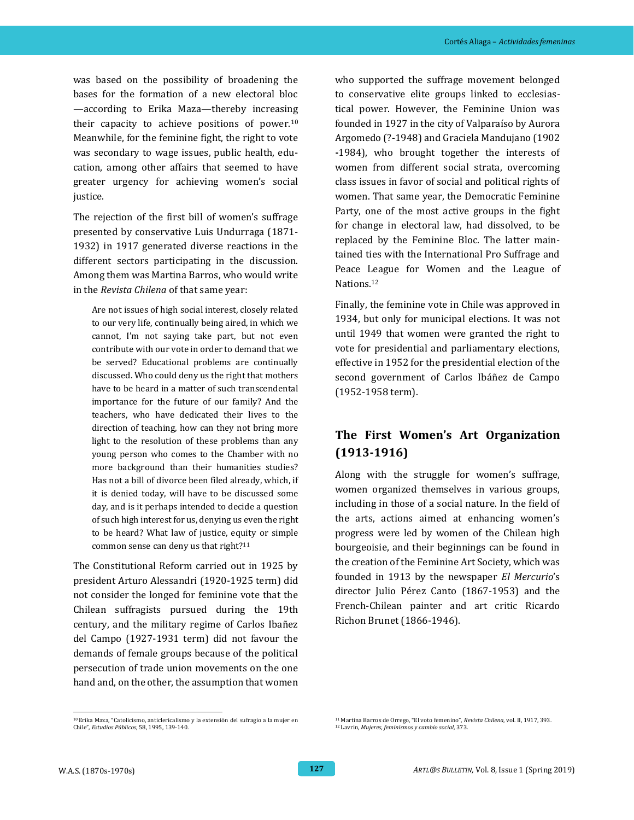was based on the possibility of broadening the bases for the formation of a new electoral bloc —according to Erika Maza—thereby increasing their capacity to achieve positions of power.<sup>10</sup> Meanwhile, for the feminine fight, the right to vote was secondary to wage issues, public health, education, among other affairs that seemed to have greater urgency for achieving women's social justice.

The rejection of the first bill of women's suffrage presented by conservative Luis Undurraga (1871- 1932) in 1917 generated diverse reactions in the different sectors participating in the discussion. Among them was Martina Barros, who would write in the *Revista Chilena* of that same year:

Are not issues of high social interest, closely related to our very life, continually being aired, in which we cannot, I'm not saying take part, but not even contribute with our vote in order to demand that we be served? Educational problems are continually discussed. Who could deny us the right that mothers have to be heard in a matter of such transcendental importance for the future of our family? And the teachers, who have dedicated their lives to the direction of teaching, how can they not bring more light to the resolution of these problems than any young person who comes to the Chamber with no more background than their humanities studies? Has not a bill of divorce been filed already, which, if it is denied today, will have to be discussed some day, and is it perhaps intended to decide a question of such high interest for us, denying us even the right to be heard? What law of justice, equity or simple common sense can deny us that right?<sup>11</sup>

The Constitutional Reform carried out in 1925 by president Arturo Alessandri (1920-1925 term) did not consider the longed for feminine vote that the Chilean suffragists pursued during the 19th century, and the military regime of Carlos Ibañez del Campo (1927-1931 term) did not favour the demands of female groups because of the political persecution of trade union movements on the one hand and, on the other, the assumption that women

who supported the suffrage movement belonged to conservative elite groups linked to ecclesiastical power. However, the Feminine Union was founded in 1927 in the city of Valparaíso by Aurora Argomedo (?**-**1948) and Graciela Mandujano (1902 **-**1984), who brought together the interests of women from different social strata, overcoming class issues in favor of social and political rights of women. That same year, the Democratic Feminine Party, one of the most active groups in the fight for change in electoral law, had dissolved, to be replaced by the Feminine Bloc. The latter maintained ties with the International Pro Suffrage and Peace League for Women and the League of Nations.<sup>12</sup>

Finally, the feminine vote in Chile was approved in 1934, but only for municipal elections. It was not until 1949 that women were granted the right to vote for presidential and parliamentary elections, effective in 1952 for the presidential election of the second government of Carlos Ibáñez de Campo (1952-1958 term).

## **The First Women's Art Organization (1913-1916)**

Along with the struggle for women's suffrage, women organized themselves in various groups, including in those of a social nature. In the field of the arts, actions aimed at enhancing women's progress were led by women of the Chilean high bourgeoisie, and their beginnings can be found in the creation of the Feminine Art Society, which was founded in 1913 by the newspaper *El Mercurio*'s director Julio Pérez Canto (1867-1953) and the French-Chilean painter and art critic Ricardo Richon Brunet (1866-1946).

 $^{\rm 10}$  Erika Maza, "Catolicismo, anticlericalismo y la extensión del sufragio a la mujer en Chile", *Estudios Públicos*, 58, 1995, 139-140.

<sup>11</sup> Martina Barros de Orrego, "El voto femenino", *Revista Chilena*, vol. II, 1917, 393. <sup>12</sup> Lavrin, *Mujeres, feminismos y cambio social*, 373.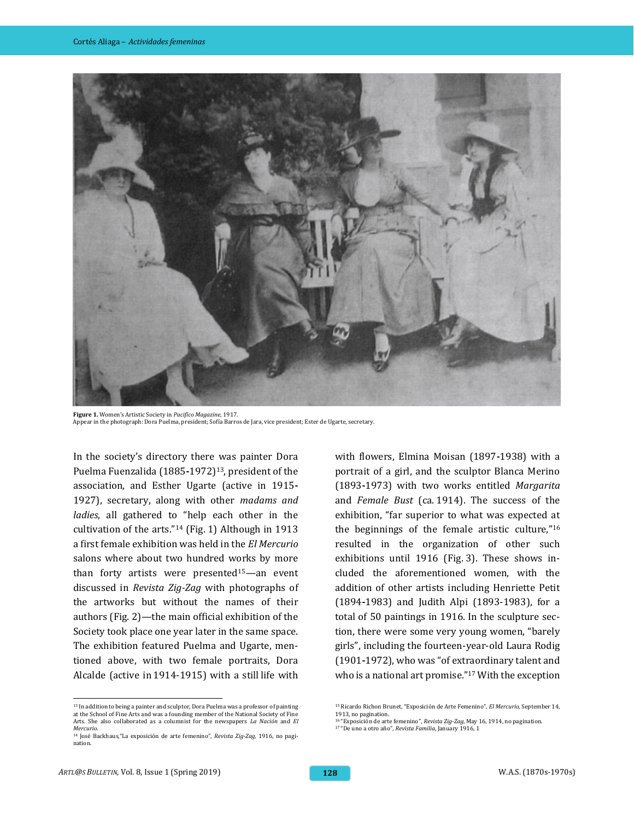

**Figure 1.** Women's Artistic Society in *Pacifico Magazine*, 1917. Appear in the photograph: Dora Puelma, president; Sofía Barros de Jara, vice president; Ester de Ugarte, secretary.

In the society's directory there was painter Dora Puelma Fuenzalida (1885**-**1972)13, president of the association, and Esther Ugarte (active in 1915**-** 1927), secretary, along with other *madams and ladies*, all gathered to "help each other in the cultivation of the arts."<sup>14</sup> (Fig. 1) Although in 1913 a first female exhibition was held in the *El Mercurio* salons where about two hundred works by more than forty artists were presented15*—*an event discussed in *Revista Zig-Zag* with photographs of the artworks but without the names of their authors (Fig. 2)*—*the main official exhibition of the Society took place one year later in the same space. The exhibition featured Puelma and Ugarte, mentioned above, with two female portraits, Dora Alcalde (active in 1914-1915) with a still life with with flowers, Elmina Moisan (1897**-**1938) with a portrait of a girl, and the sculptor Blanca Merino (1893**-**1973) with two works entitled *Margarita* and *Female Bust* (ca. 1914). The success of the exhibition, "far superior to what was expected at the beginnings of the female artistic culture,"<sup>16</sup> resulted in the organization of other such exhibitions until 1916 (Fig. 3). These shows included the aforementioned women, with the addition of other artists including Henriette Petit (1894**-**1983) and Judith Alpi (1893-1983), for a total of 50 paintings in 1916. In the sculpture section, there were some very young women, "barely girls", including the fourteen-year-old Laura Rodig (1901**-**1972), who was "of extraordinary talent and who is a national art promise."<sup>17</sup> With the exception

 $^{\rm 13}$  In addition to being a painter and sculptor, Dora Puelma was a professor of painting at the School of Fine Arts and was a founding member of the National Society of Fine Arts. She also collaborated as a columnist for the newspapers *La Nación* and *El Mercurio*.

<sup>14</sup> José Backhaus,"La exposición de arte femenino", *Revista Zig-Zag,* 1916, no pagination.

<sup>15</sup> Ricardo Richon Brunet, "Exposición de Arte Femenino", *El Mercurio*, September 14, 1913, no pagination.

<sup>16</sup> "Exposición de arte femenino", *Revista Zig-Zag*, May 16, 1914, no pagination.

<sup>17</sup> "De uno a otro año", *Revista Familia*, January 1916, 1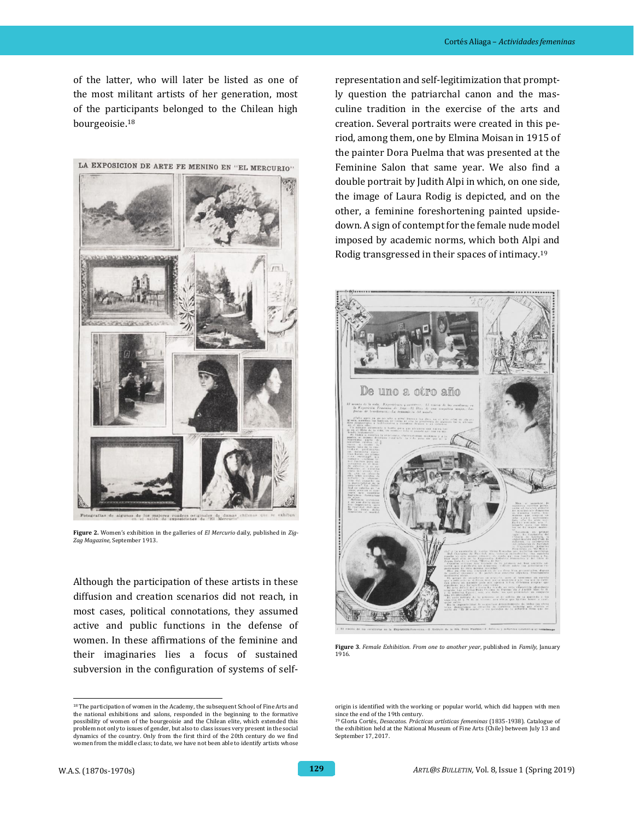of the latter, who will later be listed as one of the most militant artists of her generation, most of the participants belonged to the Chilean high bourgeoisie.<sup>18</sup>



**Figure 2.** Women's exhibition in the galleries of *El Mercurio* daily, published in *Zig-Zag Magazine*, September 1913.

Although the participation of these artists in these diffusion and creation scenarios did not reach, in most cases, political connotations, they assumed active and public functions in the defense of women. In these affirmations of the feminine and their imaginaries lies a focus of sustained subversion in the configuration of systems of self-

representation and self-legitimization that promptly question the patriarchal canon and the masculine tradition in the exercise of the arts and creation. Several portraits were created in this period, among them, one by Elmina Moisan in 1915 of the painter Dora Puelma that was presented at the Feminine Salon that same year. We also find a double portrait by Judith Alpi in which, on one side, the image of Laura Rodig is depicted, and on the other, a feminine foreshortening painted upsidedown. A sign of contempt for the female nude model imposed by academic norms, which both Alpi and Rodig transgressed in their spaces of intimacy.<sup>19</sup>



**Figure 3**. *Female Exhibition. From one to another year*, published in *Family*, January 1916.

<sup>&</sup>lt;sup>18</sup> The participation of women in the Academy, the subsequent School of Fine Arts and the national exhibitions and salons, responded in the beginning to the formative possibility of women of the bourgeoisie and the Chilean elite, which extended this problem not only to issues of gender, but also to class issues very present in the social dynamics of the country. Only from the first third of the 20th century do we find women from the middle class; to date, we have not been able to identify artists whose

origin is identified with the working or popular world, which did happen with men since the end of the 19th century.

<sup>19</sup> Gloria Cortés, *Desacatos. Prácticas artísticas femeninas* (1835-1938). Catalogue of the exhibition held at the National Museum of Fine Arts (Chile) between July 13 and September 17, 2017.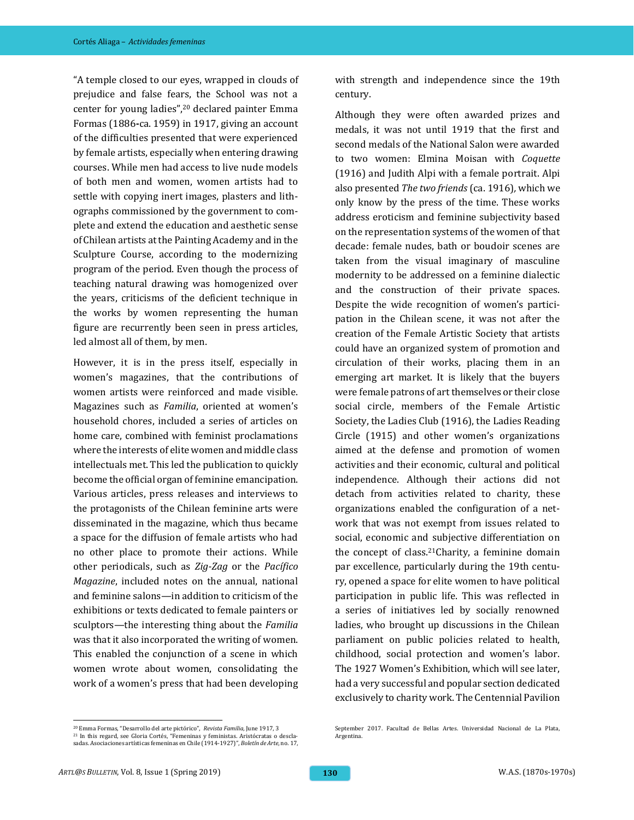"A temple closed to our eyes, wrapped in clouds of prejudice and false fears, the School was not a center for young ladies", <sup>20</sup> declared painter Emma Formas (1886**-**ca. 1959) in 1917, giving an account of the difficulties presented that were experienced by female artists, especially when entering drawing courses. While men had access to live nude models of both men and women, women artists had to settle with copying inert images, plasters and lithographs commissioned by the government to complete and extend the education and aesthetic sense of Chilean artists at the Painting Academy and in the Sculpture Course, according to the modernizing program of the period. Even though the process of teaching natural drawing was homogenized over the years, criticisms of the deficient technique in the works by women representing the human figure are recurrently been seen in press articles, led almost all of them, by men.

However, it is in the press itself, especially in women's magazines, that the contributions of women artists were reinforced and made visible. Magazines such as *Familia*, oriented at women's household chores, included a series of articles on home care, combined with feminist proclamations where the interests of elite women and middle class intellectuals met. This led the publication to quickly become the official organ of feminine emancipation. Various articles, press releases and interviews to the protagonists of the Chilean feminine arts were disseminated in the magazine, which thus became a space for the diffusion of female artists who had no other place to promote their actions. While other periodicals, such as *Zig-Zag* or the *Pacífico Magazine*, included notes on the annual, national and feminine salons—in addition to criticism of the exhibitions or texts dedicated to female painters or sculptors—the interesting thing about the *Familia* was that it also incorporated the writing of women. This enabled the conjunction of a scene in which women wrote about women, consolidating the work of a women's press that had been developing with strength and independence since the 19th century.

Although they were often awarded prizes and medals, it was not until 1919 that the first and second medals of the National Salon were awarded to two women: Elmina Moisan with *Coquette* (1916) and Judith Alpi with a female portrait. Alpi also presented *The two friends* (ca. 1916)*,* which we only know by the press of the time. These works address eroticism and feminine subjectivity based on the representation systems of the women of that decade: female nudes, bath or boudoir scenes are taken from the visual imaginary of masculine modernity to be addressed on a feminine dialectic and the construction of their private spaces. Despite the wide recognition of women's participation in the Chilean scene, it was not after the creation of the Female Artistic Society that artists could have an organized system of promotion and circulation of their works, placing them in an emerging art market. It is likely that the buyers were female patrons of art themselves or their close social circle, members of the Female Artistic Society, the Ladies Club (1916), the Ladies Reading Circle (1915) and other women's organizations aimed at the defense and promotion of women activities and their economic, cultural and political independence. Although their actions did not detach from activities related to charity, these organizations enabled the configuration of a network that was not exempt from issues related to social, economic and subjective differentiation on the concept of class.<sup>21</sup>Charity, a feminine domain par excellence, particularly during the 19th century, opened a space for elite women to have political participation in public life. This was reflected in a series of initiatives led by socially renowned ladies, who brought up discussions in the Chilean parliament on public policies related to health, childhood, social protection and women's labor. The 1927 Women's Exhibition, which will see later, had a very successful and popular section dedicated exclusively to charity work. The Centennial Pavilion

September 2017. Facultad de Bellas Artes. Universidad Nacional de La Plata,

l

Argentina.

<sup>20</sup> Emma Formas, "Desarrollo del arte pictórico", *Revista Familia*, June 1917, 3 <sup>21</sup> In this regard, see Gloria Cortés, "Femeninas y feministas. Aristócratas o desclasadas. Asociaciones artísticas femeninas en Chile (1914-1927)", *Boletín de Arte*, no. 17,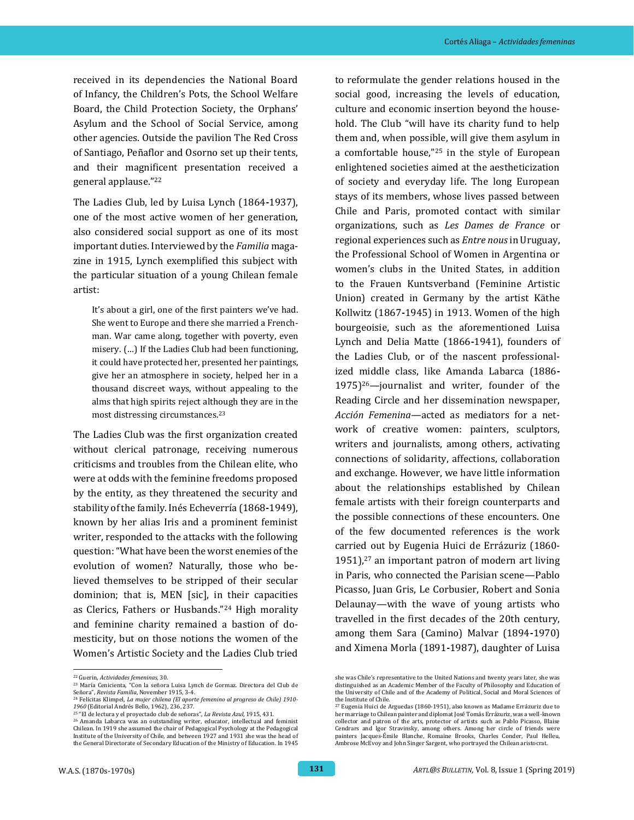received in its dependencies the National Board of Infancy, the Children's Pots, the School Welfare Board, the Child Protection Society, the Orphans' Asylum and the School of Social Service, among other agencies. Outside the pavilion The Red Cross of Santiago, Peñaflor and Osorno set up their tents, and their magnificent presentation received a general applause."<sup>22</sup>

The Ladies Club, led by Luisa Lynch (1864**-**1937), one of the most active women of her generation, also considered social support as one of its most important duties. Interviewed by the *Familia* magazine in 1915, Lynch exemplified this subject with the particular situation of a young Chilean female artist:

It's about a girl, one of the first painters we've had. She went to Europe and there she married a Frenchman. War came along, together with poverty, even misery. (…) If the Ladies Club had been functioning, it could have protected her, presented her paintings, give her an atmosphere in society, helped her in a thousand discreet ways, without appealing to the alms that high spirits reject although they are in the most distressing circumstances.<sup>23</sup>

The Ladies Club was the first organization created without clerical patronage, receiving numerous criticisms and troubles from the Chilean elite, who were at odds with the feminine freedoms proposed by the entity, as they threatened the security and stability of the family. Inés Echeverría (1868**-**1949), known by her alias Iris and a prominent feminist writer, responded to the attacks with the following question: "What have been the worst enemies of the evolution of women? Naturally, those who believed themselves to be stripped of their secular dominion; that is, MEN [sic], in their capacities as Clerics, Fathers or Husbands."<sup>24</sup> High morality and feminine charity remained a bastion of domesticity, but on those notions the women of the Women's Artistic Society and the Ladies Club tried

to reformulate the gender relations housed in the social good, increasing the levels of education, culture and economic insertion beyond the household. The Club "will have its charity fund to help them and, when possible, will give them asylum in a comfortable house,"<sup>25</sup> in the style of European enlightened societies aimed at the aestheticization of society and everyday life. The long European stays of its members, whose lives passed between Chile and Paris, promoted contact with similar organizations, such as *Les Dames de France* or regional experiences such as *Entre nous* in Uruguay, the Professional School of Women in Argentina or women's clubs in the United States, in addition to the Frauen Kuntsverband (Feminine Artistic Union) created in Germany by the artist Käthe Kollwitz (1867**-**1945) in 1913. Women of the high bourgeoisie, such as the aforementioned Luisa Lynch and Delia Matte (1866**-**1941), founders of the Ladies Club, or of the nascent professionalized middle class, like Amanda Labarca (1886**-**  $1975$ <sup>26</sup>—journalist and writer, founder of the Reading Circle and her dissemination newspaper, *Acción Femenina*—acted as mediators for a network of creative women: painters, sculptors, writers and journalists, among others, activating connections of solidarity, affections, collaboration and exchange. However, we have little information about the relationships established by Chilean female artists with their foreign counterparts and the possible connections of these encounters. One of the few documented references is the work carried out by Eugenia Huici de Errázuriz (1860- 1951), $27$  an important patron of modern art living in Paris, who connected the Parisian scene—Pablo Picasso, Juan Gris, Le Corbusier, Robert and Sonia Delaunay—with the wave of young artists who travelled in the first decades of the 20th century, among them Sara (Camino) Malvar (1894**-**1970) and Ximena Morla (1891**-**1987), daughter of Luisa

 <sup>22</sup> Guerin, *Actividades femeninas*, 30.

<sup>23</sup> María Cenicienta, "Con la señora Luisa Lynch de Gormaz. Directora del Club de Señora", *Revista Familia*, November 1915, 3-4.

<sup>24</sup> Felícitas Klimpel, *La mujer chilena (El aporte femenino al progreso de Chile) 1910- 1960* (Editorial Andrés Bello, 1962), 236, 237.

<sup>25</sup> "El de lectura y el proyectado club de señoras", *La Revista Azul,* 1915, 431.

<sup>&</sup>lt;sup>26</sup> Amanda Labarca was an outstanding writer, educator, intellectual and feminist Chilean. In 1919 she assumed the chair of Pedagogical Psychology at the Pedagogical Institute of the University of Chile, and between 1927 and 1931 she was the head of the General Directorate of Secondary Education of the Ministry of Education. In 1945

she was Chile's representative to the United Nations and twenty years later, she was distinguished as an Academic Member of the Faculty of Philosophy and Education of the University of Chile and of the Academy of Political, Social and Moral Sciences of the Institute of Chile.

<sup>27</sup> Eugenia Huici de Arguedas (1860-1951), also known as Madame Errázuriz due to her marriage to Chilean painter and diplomat José Tomás Errázuriz, was a well-known collector and patron of the arts, protector of artists such as Pablo Picasso, Blaise Cendrars and Igor Stravinsky, among others. Among her circle of friends were painters Jacques-Émile Blanche, Romaine Brooks, Charles Conder, Paul Helleu, Ambrose McEvoy and John Singer Sargent, who portrayed the Chilean aristocrat.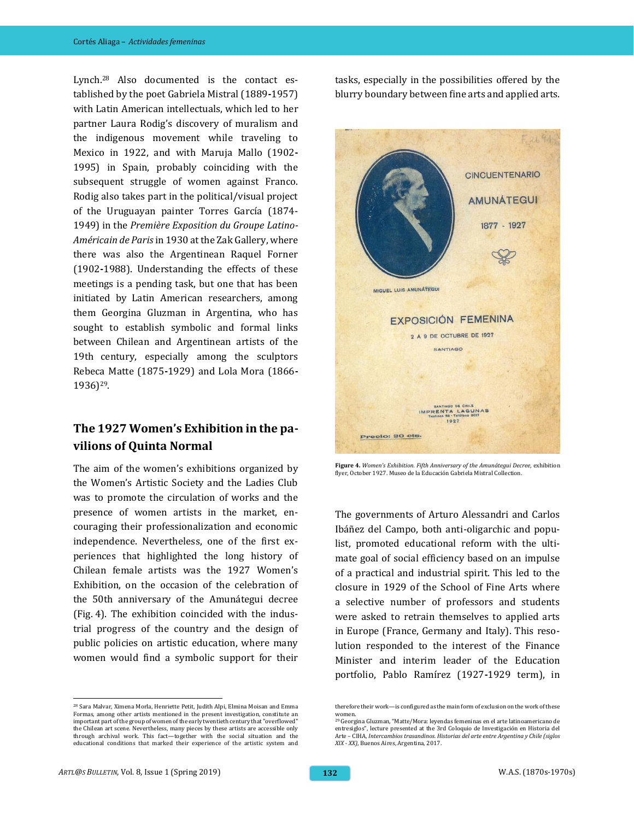Lynch.<sup>28</sup> Also documented is the contact established by the poet Gabriela Mistral (1889**-**1957) with Latin American intellectuals, which led to her partner Laura Rodig's discovery of muralism and the indigenous movement while traveling to Mexico in 1922, and with Maruja Mallo (1902**-** 1995) in Spain, probably coinciding with the subsequent struggle of women against Franco. Rodig also takes part in the political/visual project of the Uruguayan painter Torres García (1874- 1949) in the *Première Exposition du Groupe Latino-Américain de Paris* in 1930 at the Zak Gallery, where there was also the Argentinean Raquel Forner (1902**-**1988). Understanding the effects of these meetings is a pending task, but one that has been initiated by Latin American researchers, among them Georgina Gluzman in Argentina, who has sought to establish symbolic and formal links between Chilean and Argentinean artists of the 19th century, especially among the sculptors Rebeca Matte (1875**-**1929) and Lola Mora (1866**-** 1936)29.

### **The 1927 Women's Exhibition in the pavilions of Quinta Normal**

The aim of the women's exhibitions organized by the Women's Artistic Society and the Ladies Club was to promote the circulation of works and the presence of women artists in the market, encouraging their professionalization and economic independence. Nevertheless, one of the first experiences that highlighted the long history of Chilean female artists was the 1927 Women's Exhibition, on the occasion of the celebration of the 50th anniversary of the Amunátegui decree (Fig. 4). The exhibition coincided with the industrial progress of the country and the design of public policies on artistic education, where many women would find a symbolic support for their

tasks, especially in the possibilities offered by the blurry boundary between fine arts and applied arts.



**Figure 4.** *Women's Exhibition. Fifth Anniversary of the Amunátegui Decree*, exhibition flyer, October 1927. Museo de la Educación Gabriela Mistral Collection.

The governments of Arturo Alessandri and Carlos Ibáñez del Campo, both anti-oligarchic and populist, promoted educational reform with the ultimate goal of social efficiency based on an impulse of a practical and industrial spirit. This led to the closure in 1929 of the School of Fine Arts where a selective number of professors and students were asked to retrain themselves to applied arts in Europe (France, Germany and Italy). This resolution responded to the interest of the Finance Minister and interim leader of the Education portfolio, Pablo Ramírez (1927**-**1929 term), in

<sup>28</sup> Sara Malvar, Ximena Morla, Henriette Petit, Judith Alpi, Elmina Moisan and Emma Formas, among other artists mentioned in the present investigation, constitute an important part of the group of women of the early twentieth century that "overflowed" the Chilean art scene. Nevertheless, many pieces by these artists are accessible only through archival work. This fact—together with the social situation and the educational conditions that marked their experience of the artistic system and

therefore their work—is configured as the main form of exclusion on the work of these women.

<sup>29</sup> Georgina Gluzman, "Matte/Mora: leyendas femeninas en el arte latinoamericano de entresiglos", lecture presented at the 3rd Coloquio de Investigación en Historia del Arte – CIHA, *Intercambios trasandinos. Historias del arte entre Argentina y Chile (siglos XIX - XX)*, Buenos Aires, Argentina, 2017.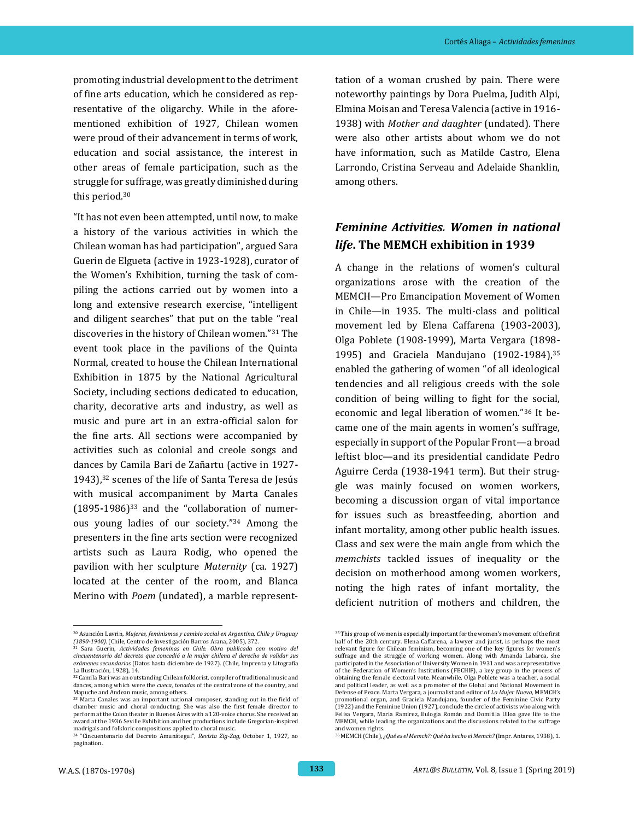promoting industrial development to the detriment of fine arts education, which he considered as representative of the oligarchy. While in the aforementioned exhibition of 1927, Chilean women were proud of their advancement in terms of work, education and social assistance, the interest in other areas of female participation, such as the struggle for suffrage, was greatly diminished during this period.<sup>30</sup>

"It has not even been attempted, until now, to make a history of the various activities in which the Chilean woman has had participation", argued Sara Guerin de Elgueta (active in 1923**-**1928), curator of the Women's Exhibition, turning the task of compiling the actions carried out by women into a long and extensive research exercise, "intelligent and diligent searches" that put on the table "real discoveries in the history of Chilean women."<sup>31</sup> The event took place in the pavilions of the Quinta Normal, created to house the Chilean International Exhibition in 1875 by the National Agricultural Society, including sections dedicated to education, charity, decorative arts and industry, as well as music and pure art in an extra-official salon for the fine arts. All sections were accompanied by activities such as colonial and creole songs and dances by Camila Bari de Zañartu (active in 1927**-** 1943),<sup>32</sup> scenes of the life of Santa Teresa de Jesús with musical accompaniment by Marta Canales (1895**-**1986)<sup>33</sup> and the "collaboration of numerous young ladies of our society."<sup>34</sup> Among the presenters in the fine arts section were recognized artists such as Laura Rodig, who opened the pavilion with her sculpture *Maternity* (ca. 1927) located at the center of the room, and Blanca Merino with *Poem* (undated), a marble representtation of a woman crushed by pain. There were noteworthy paintings by Dora Puelma, Judith Alpi, Elmina Moisan and Teresa Valencia (active in 1916**-** 1938) with *Mother and daughter* (undated). There were also other artists about whom we do not have information, such as Matilde Castro, Elena Larrondo, Cristina Serveau and Adelaide Shanklin, among others.

## *Feminine Activities. Women in national life***. The MEMCH exhibition in 1939**

A change in the relations of women's cultural organizations arose with the creation of the MEMCH—Pro Emancipation Movement of Women in Chile—in 1935. The multi-class and political movement led by Elena Caffarena (1903**-**2003), Olga Poblete (1908**-**1999), Marta Vergara (1898**-** 1995) and Graciela Mandujano (1902**-**1984),<sup>35</sup> enabled the gathering of women "of all ideological tendencies and all religious creeds with the sole condition of being willing to fight for the social, economic and legal liberation of women."<sup>36</sup> It became one of the main agents in women's suffrage, especially in support of the Popular Front—a broad leftist bloc—and its presidential candidate Pedro Aguirre Cerda (1938**-**1941 term). But their struggle was mainly focused on women workers, becoming a discussion organ of vital importance for issues such as breastfeeding, abortion and infant mortality, among other public health issues. Class and sex were the main angle from which the *memchists* tackled issues of inequality or the decision on motherhood among women workers, noting the high rates of infant mortality, the deficient nutrition of mothers and children, the

l <sup>30</sup> Asunción Lavrin, *Mujeres, feminismos y cambio social en Argentina, Chile y Uruguay* 

*<sup>(1890-1940).</sup>* (Chile, Centro de Investigación Barros Arana, 2005), 372. <sup>31</sup> Sara Guerin, *Actividades femeninas en Chile. Obra publicada con motivo del cincuentenario del decreto que concedió a la mujer chilena el derecho de validar sus exámenes secundarios* (Datos hasta diciembre de 1927). (Chile, Imprenta y Litografía La Ilustración, 1928), 14.

<sup>&</sup>lt;sup>32</sup> Camila Bari was an outstanding Chilean folklorist, compiler of traditional music and dances, among which were the *cueca*, *tonadas* of the central zone of the country, and Mapuche and Andean music, among others.

<sup>33</sup> Marta Canales was an important national composer, standing out in the field of chamber music and choral conducting. She was also the first female director to perform at the Colon theater in Buenos Aires with a 120-voice chorus. She received an award at the 1936 Seville Exhibition and her productions include Gregorian-inspired madrigals and folkloric compositions applied to choral music. <sup>34</sup> "Cincuentenario del Decreto Amunátegui", *Revista Zig-Zag,* October 1, 1927, no

pagination.

<sup>&</sup>lt;sup>35</sup> This group of women is especially important for the women's movement of the first half of the 20th century. Elena Caffarena, a lawyer and jurist, is perhaps the most relevant figure for Chilean feminism, becoming one of the key figures for women's suffrage and the struggle of working women. Along with Amanda Labarca, she participated in the Association of University Women in 1931 and was a representative of the Federation of Women's Institutions (FECHIF), a key group in the process of obtaining the female electoral vote. Meanwhile, Olga Poblete was a teacher, a social and political leader, as well as a promoter of the Global and National Movement in Defense of Peace. Marta Vergara, a journalist and editor of *La Mujer Nueva*, MEMCH's promotional organ, and Graciela Mandujano, founder of the Feminine Civic Party (1922) and the Feminine Union (1927), conclude the circle of activists who along with Felisa Vergara, Maria Ramírez, Eulogia Román and Domitila Ulloa gave life to the MEMCH, while leading the organizations and the discussions related to the suffrage and women rights.

<sup>36</sup> MEMCH (Chile), *¿Qué es el Memch?: Qué ha hecho el Memch?* (Impr. Antares, 1938), 1.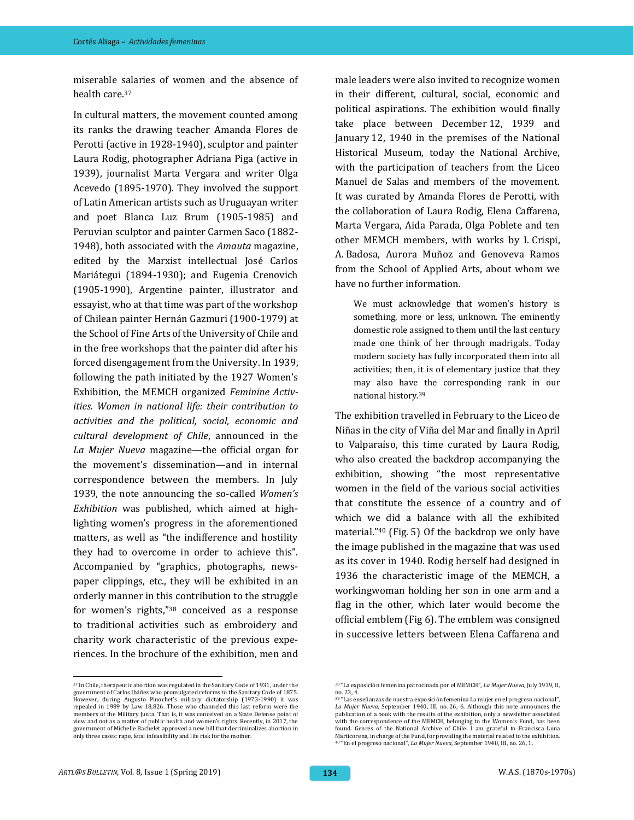miserable salaries of women and the absence of health care.<sup>37</sup>

In cultural matters, the movement counted among its ranks the drawing teacher Amanda Flores de Perotti (active in 1928-1940), sculptor and painter Laura Rodig, photographer Adriana Piga (active in 1939), journalist Marta Vergara and writer Olga Acevedo (1895**-**1970). They involved the support of Latin American artists such as Uruguayan writer and poet Blanca Luz Brum (1905**-**1985) and Peruvian sculptor and painter Carmen Saco (1882**-** 1948), both associated with the *Amauta* magazine, edited by the Marxist intellectual José Carlos Mariátegui (1894**-**1930); and Eugenia Crenovich (1905**-**1990), Argentine painter, illustrator and essayist, who at that time was part of the workshop of Chilean painter Hernán Gazmuri (1900**-**1979) at the School of Fine Arts of the University of Chile and in the free workshops that the painter did after his forced disengagement from the University. In 1939, following the path initiated by the 1927 Women's Exhibition, the MEMCH organized *Feminine Activities. Women in national life: their contribution to activities and the political, social, economic and cultural development of Chile*, announced in the *La Mujer Nueva* magazine—the official organ for the movement's dissemination—and in internal correspondence between the members. In July 1939, the note announcing the so-called *Women's Exhibition* was published, which aimed at highlighting women's progress in the aforementioned matters, as well as "the indifference and hostility they had to overcome in order to achieve this". Accompanied by "graphics, photographs, newspaper clippings, etc., they will be exhibited in an orderly manner in this contribution to the struggle for women's rights,"<sup>38</sup> conceived as a response to traditional activities such as embroidery and charity work characteristic of the previous experiences. In the brochure of the exhibition, men and

<sup>37</sup> In Chile, therapeutic abortion was regulated in the Sanitary Code of 1931, under the government of Carlos Ibáñez who promulgated reforms to the Sanitary Code of 1875. However, during Augusto Pinochet's military dictatorship (1973**-**1990) it was repealed in 1989 by Law 18,826. Those who channeled this last reform were the members of the Military Junta. That is, it was conceived on a State Defense point of view and not as a matter of public health and women's rights. Recently, in 2017, the government of Michelle Bachelet approved a new bill that decriminalizes abortion in only three cases: rape, fetal infeasibility and life risk for the mother.

male leaders were also invited to recognize women in their different, cultural, social, economic and political aspirations. The exhibition would finally take place between December 12, 1939 and January 12, 1940 in the premises of the National Historical Museum, today the National Archive, with the participation of teachers from the Liceo Manuel de Salas and members of the movement. It was curated by Amanda Flores de Perotti, with the collaboration of Laura Rodig, Elena Caffarena, Marta Vergara, Aida Parada, Olga Poblete and ten other MEMCH members, with works by I. Crispi, A. Badosa, Aurora Muñoz and Genoveva Ramos from the School of Applied Arts, about whom we have no further information.

We must acknowledge that women's history is something, more or less, unknown. The eminently domestic role assigned to them until the last century made one think of her through madrigals. Today modern society has fully incorporated them into all activities; then, it is of elementary justice that they may also have the corresponding rank in our national history.<sup>39</sup>

The exhibition travelled in February to the Liceo de Niñas in the city of Viña del Mar and finally in April to Valparaíso, this time curated by Laura Rodig, who also created the backdrop accompanying the exhibition, showing "the most representative women in the field of the various social activities that constitute the essence of a country and of which we did a balance with all the exhibited material."<sup>40</sup> (Fig. 5) Of the backdrop we only have the image published in the magazine that was used as its cover in 1940. Rodig herself had designed in 1936 the characteristic image of the MEMCH, a workingwoman holding her son in one arm and a flag in the other, which later would become the official emblem (Fig 6). The emblem was consigned in successive letters between Elena Caffarena and

<sup>38</sup> "La exposición femenina patrocinada por el MEMCH", *La Mujer Nueva*, July 1939, II, no. 23, 4.

<sup>39</sup> "Las enseñanzas de nuestra exposición femenina La mujer en el progreso nacional", *La Mujer Nueva*, September 1940, III, no. 26, 6. Although this note announces the publication of a book with the results of the exhibition, only a newsletter associated with the correspondence of the MEMCH, belonging to the Women's Fund, has been found. Genres of the National Archive of Chile. I am grateful to Francisca Luna Marticorena, in charge of the Fund, for providing the material related to the exhibition. <sup>40</sup> "En el progreso nacional", *La Mujer Nueva*, September 1940, III, no. 26, 1.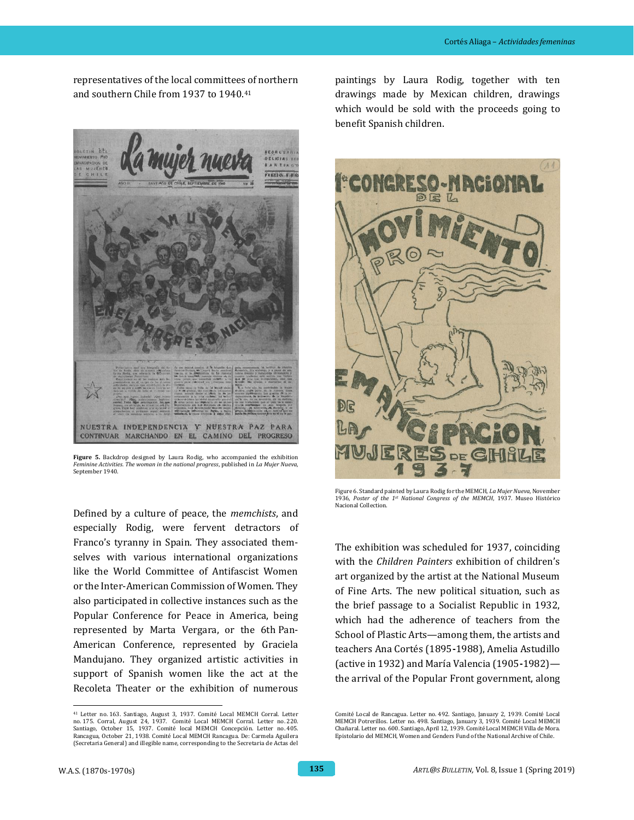representatives of the local committees of northern and southern Chile from 1937 to 1940.<sup>41</sup>



**Figure 5.** Backdrop designed by Laura Rodig, who accompanied the exhibition *Feminine Activities. The woman in the national progress*, published in *La Mujer Nueva*, Sentember 1940

Defined by a culture of peace, the *memchists*, and especially Rodig, were fervent detractors of Franco's tyranny in Spain. They associated themselves with various international organizations like the World Committee of Antifascist Women or the Inter-American Commission of Women. They also participated in collective instances such as the Popular Conference for Peace in America, being represented by Marta Vergara, or the 6th Pan-American Conference, represented by Graciela Mandujano. They organized artistic activities in support of Spanish women like the act at the Recoleta Theater or the exhibition of numerous

paintings by Laura Rodig, together with ten drawings made by Mexican children, drawings which would be sold with the proceeds going to benefit Spanish children.



Figure 6. Standard painted by Laura Rodig for the MEMCH, *La Mujer Nueva*, November 1936, *Poster of the 1st National Congress of the MEMCH*, 1937. Museo Histórico Nacional Collection.

The exhibition was scheduled for 1937, coinciding with the *Children Painters* exhibition of children's art organized by the artist at the National Museum of Fine Arts. The new political situation, such as the brief passage to a Socialist Republic in 1932, which had the adherence of teachers from the School of Plastic Arts—among them, the artists and teachers Ana Cortés (1895**-**1988), Amelia Astudillo (active in 1932) and María Valencia (1905**-**1982) the arrival of the Popular Front government, along

 <sup>41</sup> Letter no. 163. Santiago, August 3, 1937. Comité Local MEMCH Corral. Letter no. 175. Corral, August 24, 1937. Comité Local MEMCH Corral. Letter no. 220. Santiago, October 15, 1937. Comité local MEMCH Concepción. Letter no. 405. Rancagua, October 21, 1938. Comité Local MEMCH Rancagua. De: Carmela Aguilera (Secretaria General) and illegible name, corresponding to the Secretaria de Actas del

Comité Local de Rancagua. Letter no. 492. Santiago, January 2, 1939. Comité Local MEMCH Potrerillos. Letter no. 498. Santiago, January 3, 1939. Comité Local MEMCH Chañaral. Letter no. 600. Santiago, April 12, 1939. Comité Local MEMCH Villa de Mora. Epistolario del MEMCH, Women and Genders Fund of the National Archive of Chile.